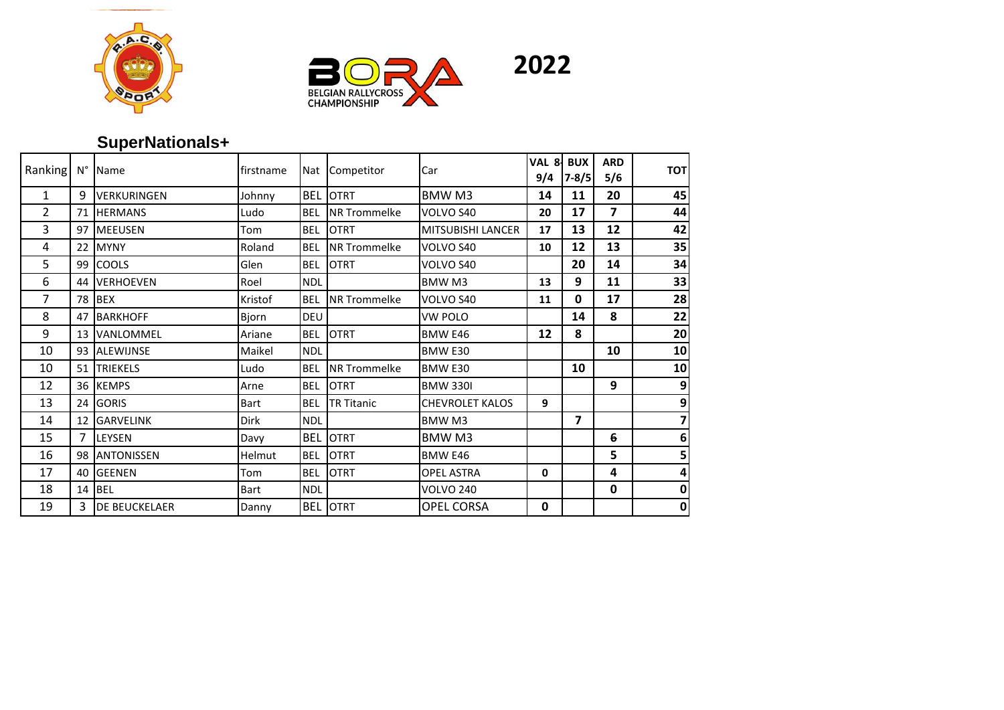





## **SuperNationals+**

| Ranking      | N° | <b>Name</b>          | firstname |            | Nat Competitor      | Car                      | VAL 8<br>9/4 | <b>BUX</b><br>$7 - 8/5$ | <b>ARD</b><br>5/6 | <b>TOT</b> |
|--------------|----|----------------------|-----------|------------|---------------------|--------------------------|--------------|-------------------------|-------------------|------------|
| $\mathbf{1}$ | 9  | <b>VERKURINGEN</b>   | Johnny    | <b>BEL</b> | <b>OTRT</b>         | BMW M3                   | 14           | 11                      | 20                | 45         |
| 2            | 71 | <b>HERMANS</b>       | Ludo      | <b>BEL</b> | <b>NR Trommelke</b> | VOLVO S40                | 20           | 17                      | 7                 | 44         |
| 3            |    | 97 MEEUSEN           | Tom       | <b>BEL</b> | <b>OTRT</b>         | <b>MITSUBISHI LANCER</b> | 17           | 13                      | 12                | 42         |
| 4            | 22 | <b>MYNY</b>          | Roland    | <b>BEL</b> | <b>NR Trommelke</b> | VOLVO S40                | 10           | 12                      | 13                | 35         |
| 5            | 99 | <b>COOLS</b>         | Glen      | <b>BEL</b> | <b>OTRT</b>         | VOLVO S40                |              | 20                      | 14                | 34         |
| 6            | 44 | <b>VERHOEVEN</b>     | Roel      | <b>NDL</b> |                     | BMW <sub>M3</sub>        | 13           | 9                       | 11                | 33         |
| 7            | 78 | <b>BEX</b>           | Kristof   | <b>BEL</b> | <b>NR Trommelke</b> | VOLVO S40                | 11           | 0                       | 17                | 28         |
| 8            | 47 | <b>BARKHOFF</b>      | Bjorn     | <b>DEU</b> |                     | VW POLO                  |              | 14                      | 8                 | 22         |
| 9            | 13 | VANLOMMEL            | Ariane    | <b>BEL</b> | <b>OTRT</b>         | <b>BMW E46</b>           | 12           | 8                       |                   | 20         |
| 10           | 93 | <b>ALEWIJNSE</b>     | Maikel    | <b>NDL</b> |                     | BMW E30                  |              |                         | 10                | 10         |
| 10           | 51 | <b>TRIEKELS</b>      | Ludo      | <b>BEL</b> | <b>NR Trommelke</b> | BMW <sub>E30</sub>       |              | 10                      |                   | 10         |
| 12           |    | 36 KEMPS             | Arne      | <b>BEL</b> | <b>OTRT</b>         | <b>BMW 330I</b>          |              |                         | 9                 | 9          |
| 13           | 24 | <b>GORIS</b>         | Bart      | <b>BEL</b> | <b>TR Titanic</b>   | <b>CHEVROLET KALOS</b>   | 9            |                         |                   | 9          |
| 14           | 12 | <b>GARVELINK</b>     | Dirk      | <b>NDL</b> |                     | BMW <sub>M3</sub>        |              | $\overline{\mathbf{z}}$ |                   | 7          |
| 15           | 7  | LEYSEN               | Davy      | <b>BEL</b> | <b>OTRT</b>         | BMW M3                   |              |                         | 6                 | 6          |
| 16           | 98 | <b>ANTONISSEN</b>    | Helmut    | <b>BEL</b> | <b>OTRT</b>         | <b>BMW E46</b>           |              |                         | 5                 | 5          |
| 17           | 40 | <b>GEENEN</b>        | Tom       | <b>BEL</b> | <b>OTRT</b>         | <b>OPEL ASTRA</b>        | 0            |                         | 4                 | 4          |
| 18           | 14 | <b>BEL</b>           | Bart      | <b>NDL</b> |                     | <b>VOLVO 240</b>         |              |                         | $\mathbf 0$       | 0          |
| 19           | 3  | <b>DE BEUCKELAER</b> | Danny     | <b>BEL</b> | <b>OTRT</b>         | <b>OPEL CORSA</b>        | 0            |                         |                   | 0          |